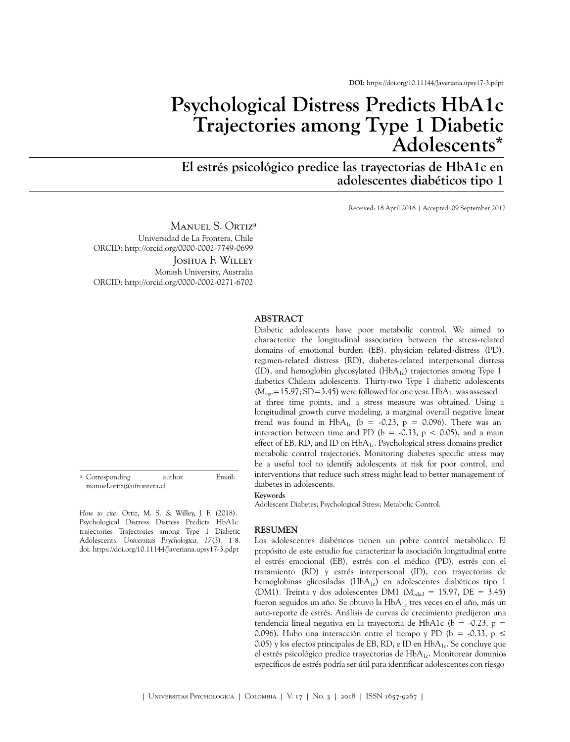# **Psychological Distress Predicts HbA1c Trajectories among Type 1 Diabetic Adolescent[s\\*](#page-7-0)**

**El estrés psicológico predice las trayectorias de HbA1c en adolescentes diabéticos tipo 1**

Received: 18 April 2016 | Accepted: 09 September 2017

Manuel S. Ortiz<sup>a</sup> Universidad de La Frontera, Chile ORCID:<http://orcid.org/0000-0002-7749-0699> Joshua F. Willey

Monash University, Australia ORCID:<http://orcid.org/0000-0002-0271-6702>

#### **ABSTRACT**

a Corresponding author. Email: manuel.ortiz@ufrontera.cl

*How to cite:* Ortiz, M. S. & Willey, J. F. (2018). Psychological Distress Distress Predicts HbA1c trajectories Trajectories among Type 1 Diabetic Adolescents. *Universitas Psychologica, 17*(3), 1-8. doi:<https://doi.org/10.11144/Javeriana.upsy17-3.pdpt>

#### characterize the longitudinal association between the stress-related domains of emotional burden (EB), physician related-distress (PD), regimen-related distress (RD), diabetes-related interpersonal distress (ID), and hemoglobin glycosylated ( $HbA_{1c}$ ) trajectories among Type 1 diabetics Chilean adolescents. Thirty-two Type 1 diabetic adolescents  $(M<sub>ave</sub>=15.97; SD=3.45)$  were followed for one year. Hb $A<sub>1c</sub>$  was assessed at three time points, and a stress measure was obtained. Using a longitudinal growth curve modeling, a marginal overall negative linear trend was found in  $HbA_{1c}$  (b = -0.23, p = 0.096). There was an interaction between time and PD ( $b = -0.33$ ,  $p < 0.05$ ), and a main effect of EB, RD, and ID on  $HbA_{1c}$ . Psychological stress domains predict metabolic control trajectories. Monitoring diabetes specific stress may be a useful tool to identify adolescents at risk for poor control, and interventions that reduce such stress might lead to better management of diabetes in adolescents.

Diabetic adolescents have poor metabolic control. We aimed to

#### **Keywords**

Adolescent Diabetes; Psychological Stress; Metabolic Control.

#### **RESUMEN**

Los adolescentes diabéticos tienen un pobre control metabólico. El propósito de este estudio fue caracterizar la asociación longitudinal entre el estrés emocional (EB), estrés con el médico (PD), estrés con el tratamiento (RD) y estrés interpersonal (ID), con trayectorias de hemoglobinas glicosiladas ( $HbA_{1c}$ ) en adolescentes diabéticos tipo 1 (DM1). Treinta y dos adolescentes DM1 ( $M_{\text{edad}} = 15.97$ , DE = 3.45) fueron seguidos un año. Se obtuvo la  $HbA_{1c}$  tres veces en el año, más un auto-reporte de estrés. Análisis de curvas de crecimiento predijeron una tendencia lineal negativa en la trayectoria de HbA1c (b = -0.23, p = 0.096). Hubo una interacción entre el tiempo y PD (b = -0.33, p  $\leq$ 0.05) y los efectos principales de EB, RD, e ID en  $HbA_{1c}$ . Se concluye que el estrés psicológico predice trayectorias de  $HbA_{1c}$ . Monitorear dominios específicos de estrés podría ser útil para identificar adolescentes con riesgo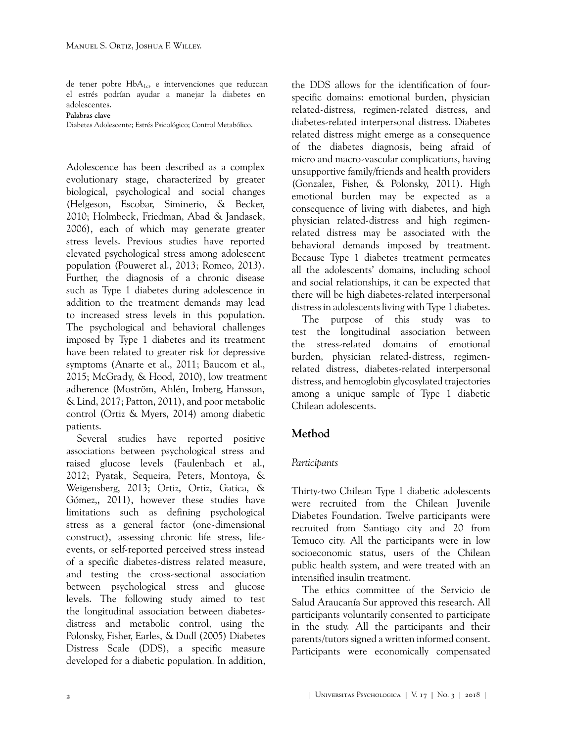de tener pobre  $HbA_{1c}$ , e intervenciones que reduzcan el estrés podrían ayudar a manejar la diabetes en adolescentes.

**Palabras clave**

Diabetes Adolescente; Estrés Psicológico; Control Metabólico.

Adolescence has been described as a complex evolutionary stage, characterized by greater biological, psychological and social changes ([Helgeson, Escobar, Siminerio, & Becker,](#page-5-0) [2010;](#page-5-0) Holmbeck, Friedman, [Abad & Jandasek,](#page-6-0)  [2006\)](#page-6-0), each of which may generate greater stress levels. Previous studies have reported elevated psychological stress among adolescent population [\(Pouweret](#page-6-1) al., 2013; [Romeo, 2013](#page-7-1)). Further, the diagnosis of a chronic disease such as Type 1 diabetes during adolescence in addition to the treatment demands may lead to increased stress levels in this population. The psychological and behavioral challenges imposed by Type 1 diabetes and its treatment have been related to greater risk for depressive symptoms ([Anarte et al., 2011](#page-5-1); [Baucom et al.,](#page-5-2) [2015;](#page-5-2) [McGrady, & Hood,](#page-6-2) 2010), low treatment adherence [\(Moström, Ahlén, Imberg,](#page-6-3) Hansson, [& Lind, 2017](#page-6-3); [Patton, 2011\)](#page-6-4), and poor metabolic control ([Ortiz & Myers, 2014\)](#page-6-5) among diabetic patients.

Several studies have reported positive associations between psychological stress and raised glucose levels ([Faulenbach](#page-5-3) et al., [2012;](#page-5-3) Pyatak, [Sequeira, Peters,](#page-7-2) Montoya, & [Weigensberg,](#page-7-2) 2013; [Ortiz, Ortiz, Gatica, &](#page-6-6) [Gómez,, 2011\)](#page-6-6), however these studies have limitations such as defining psychological stress as a general factor (one-dimensional construct), assessing chronic life stress, lifeevents, or self-reported perceived stress instead of a specific diabetes-distress related measure, and testing the cross-sectional association between psychological stress and glucose levels. The following study aimed to test the longitudinal association between diabetesdistress and metabolic control, using the [Polonsky, Fisher, Earles, & Dudl \(2005\)](#page-6-7) Diabetes Distress Scale (DDS), a specific measure developed for a diabetic population. In addition,

the DDS allows for the identification of fourspecific domains: emotional burden, physician related-distress, regimen-related distress, and diabetes-related interpersonal distress. Diabetes related distress might emerge as a consequence of the diabetes diagnosis, being afraid of micro and macro-vascular complications, having unsupportive family/friends and health providers ([Gonzalez, Fisher, & Polonsky, 2011](#page-5-4)). High emotional burden may be expected as a consequence of living with diabetes, and high physician related-distress and high regimenrelated distress may be associated with the behavioral demands imposed by treatment. Because Type 1 diabetes treatment permeates all the adolescents' domains, including school and social relationships, it can be expected that there will be high diabetes-related interpersonal distress in adolescents living with Type 1 diabetes.

The purpose of this study was to test the longitudinal association between the stress-related domains of emotional burden, physician related-distress, regimenrelated distress, diabetes-related interpersonal distress, and hemoglobin glycosylated trajectories among a unique sample of Type 1 diabetic Chilean adolescents.

### **Method**

### *Participants*

Thirty-two Chilean Type 1 diabetic adolescents were recruited from the Chilean Juvenile Diabetes Foundation. Twelve participants were recruited from Santiago city and 20 from Temuco city. All the participants were in low socioeconomic status, users of the Chilean public health system, and were treated with an intensified insulin treatment.

The ethics committee of the Servicio de Salud Araucanía Sur approved this research. All participants voluntarily consented to participate in the study. All the participants and their parents/tutors signed a written informed consent. Participants were economically compensated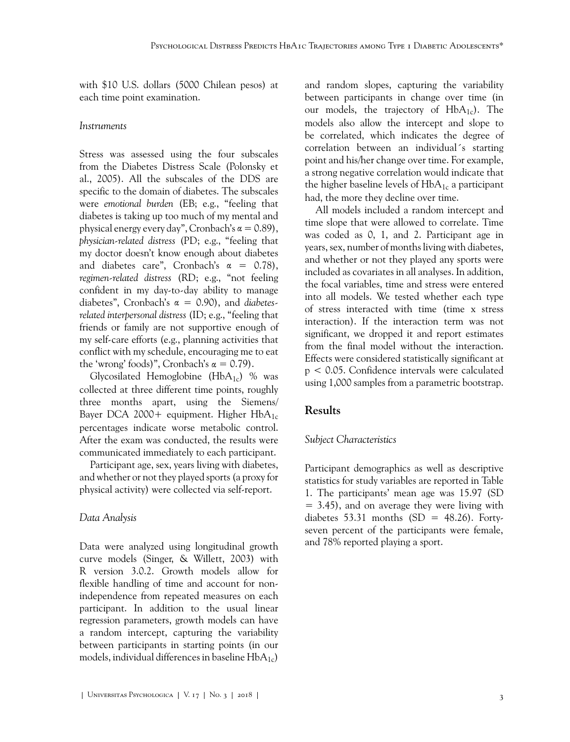with \$10 U.S. dollars (5000 Chilean pesos) at each time point examination.

#### *Instruments*

Stress was assessed using the four subscales from the Diabetes Distress Scale [\(Polonsky et](#page-6-7) [al., 2005\)](#page-6-7). All the subscales of the DDS are specific to the domain of diabetes. The subscales were *emotional burden* (EB; e.g., "feeling that diabetes is taking up too much of my mental and physical energy every day", Cronbach's  $\alpha = 0.89$ ), *physician-related distress* (PD; e.g., "feeling that my doctor doesn't know enough about diabetes and diabetes care", Cronbach's  $\alpha = 0.78$ ), *regimen-related distress* (RD; e.g., "not feeling confident in my day-to-day ability to manage diabetes", Cronbach's α = 0.90), and *diabetesrelated interpersonal distress* (ID; e.g., "feeling that friends or family are not supportive enough of my self-care efforts (e.g., planning activities that conflict with my schedule, encouraging me to eat the 'wrong' foods)", Cronbach's  $\alpha = 0.79$ ).

Glycosilated Hemoglobine ( $HbA_{1c}$ ) % was collected at three different time points, roughly three months apart, using the Siemens/ Bayer DCA 2000+ equipment. Higher  $HbA_{1c}$ percentages indicate worse metabolic control. After the exam was conducted, the results were communicated immediately to each participant.

Participant age, sex, years living with diabetes, and whether or not they played sports (a proxy for physical activity) were collected via self-report.

### *Data Analysis*

Data were analyzed using longitudinal growth curve models [\(Singer, & Willett, 2003](#page-7-3)) with R version 3.0.2. Growth models allow for flexible handling of time and account for nonindependence from repeated measures on each participant. In addition to the usual linear regression parameters, growth models can have a random intercept, capturing the variability between participants in starting points (in our models, individual differences in baseline  $HbA_{1c}$ 

and random slopes, capturing the variability between participants in change over time (in our models, the trajectory of  $HbA_{1c}$ ). The models also allow the intercept and slope to be correlated, which indicates the degree of correlation between an individual´s starting point and his/her change over time. For example, a strong negative correlation would indicate that the higher baseline levels of  $HbA_{1c}$  a participant had, the more they decline over time.

All models included a random intercept and time slope that were allowed to correlate. Time was coded as 0, 1, and 2. Participant age in years, sex, number of months living with diabetes, and whether or not they played any sports were included as covariates in all analyses. In addition, the focal variables, time and stress were entered into all models. We tested whether each type of stress interacted with time (time x stress interaction). If the interaction term was not significant, we dropped it and report estimates from the final model without the interaction. Effects were considered statistically significant at p < 0.05. Confidence intervals were calculated using 1,000 samples from a parametric bootstrap.

### **Results**

### *Subject Characteristics*

Participant demographics as well as descriptive statistics for study variables are reported in [Table](#page-3-0) [1](#page-3-0). The participants' mean age was 15.97 (SD  $= 3.45$ , and on average they were living with diabetes 53.31 months (SD =  $48.26$ ). Fortyseven percent of the participants were female, and 78% reported playing a sport.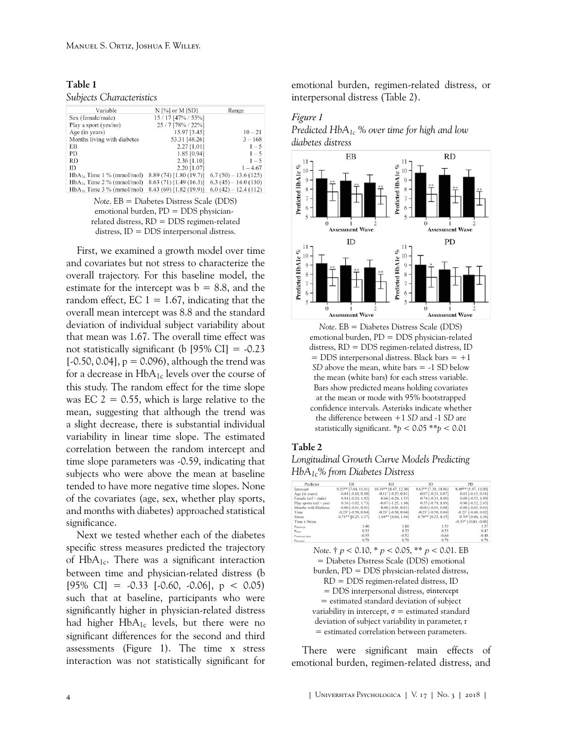<span id="page-3-0"></span>

| Table 1 |                          |
|---------|--------------------------|
|         | Subjects Characteristics |

| Variable                       | $N$ [%] or M [SD]       | Range                 |
|--------------------------------|-------------------------|-----------------------|
| Sex (female/male)              | 15 / 17 [47% / 53%]     |                       |
| Play a sport (yes/no)          | 25 / 7 [78% / 22%]      |                       |
| Age (in years)                 | 15.97 [3.45]            | $10 - 21$             |
| Months living with diabetes    | 53.31 [48.26]           | $3 - 168$             |
| EB                             | $2.27$ [1.01]           | $1 - 5$               |
| <b>PD</b>                      | $1.85$ [0.94]           | $1 - 5$               |
| <b>RD</b>                      | $2.36$ [1.10]           | $1 - 5$               |
| ID                             | 2.20 [1.07]             | $1 - 4.67$            |
| $HbA_{1c}$ Time 1 % (mmol/mol) | 8.89(74)[1.80(19.7)]    | $6.7(50) - 13.6(125)$ |
| $HbA_{1c}$ Time 2 % (mmol/mol) | 8.63(71)[1.49(16.3)]    | $6.3(45) - 14.0(130)$ |
| $HbA_{1c}$ Time 3 % (mmol/mol) | 8.43 (69) [1.82 (19.9)] | $6.0(42) - 12.4(112)$ |

*Note*. EB = Diabetes Distress Scale (DDS) emotional burden, PD = DDS physicianrelated distress, RD = DDS regimen-related distress, ID = DDS interpersonal distress.

First, we examined a growth model over time and covariates but not stress to characterize the overall trajectory. For this baseline model, the estimate for the intercept was  $b = 8.8$ , and the random effect,  $EC$  1 = 1.67, indicating that the overall mean intercept was 8.8 and the standard deviation of individual subject variability about that mean was 1.67. The overall time effect was not statistically significant (b [95% CI] =  $-0.23$ [ $-0.50, 0.04$ ],  $p = 0.096$ ), although the trend was for a decrease in  $HbA_{1c}$  levels over the course of this study. The random effect for the time slope was EC  $2 = 0.55$ , which is large relative to the mean, suggesting that although the trend was a slight decrease, there is substantial individual variability in linear time slope. The estimated correlation between the random intercept and time slope parameters was -0.59, indicating that subjects who were above the mean at baseline tended to have more negative time slopes. None of the covariates (age, sex, whether play sports, and months with diabetes) approached statistical significance.

Next we tested whether each of the diabetes specific stress measures predicted the trajectory of  $HbA_{1c}$ . There was a significant interaction between time and physician-related distress (b  $[95\% \text{ CI}] = -0.33$   $[-0.60, -0.06]$ ,  $p < 0.05$ ) such that at baseline, participants who were significantly higher in physician-related distress had higher  $HbA_{1c}$  levels, but there were no significant differences for the second and third assessments ([Figure 1](#page-3-1)). The time x stress interaction was not statistically significant for

emotional burden, regimen-related distress, or interpersonal distress ([Table 2\)](#page-3-2).

#### <span id="page-3-1"></span>*Figure 1*





*Note*. EB = Diabetes Distress Scale (DDS) emotional burden, PD = DDS physician-related distress, RD = DDS regimen-related distress, ID  $=$  DDS interpersonal distress. Black bars  $= +1$ *SD* above the mean, white bars = -1 SD below the mean (white bars) for each stress variable. Bars show predicted means holding covariates at the mean or mode with 95% bootstrapped confidence intervals. Asterisks indicate whether the difference between +1 *SD* and -1 *SD* are statistically significant. \**p* < 0.05 \*\**p* < 0.01

#### <span id="page-3-2"></span>Table 2

*Longitudinal Growth Curve Models Predicting HbA1c% from Diabetes Distress*

| Predictor                    | <b>EB</b>                            | <b>RD</b>                              | ID                                     | PD.                                  |
|------------------------------|--------------------------------------|----------------------------------------|----------------------------------------|--------------------------------------|
| Intercept                    | 9.23** [7.04, 11.41]                 | 10.39** [8.47, 12.30]                  | $9.63**$ [7.39, 11.86]                 | 8.49** [5.97, 11.00]                 |
| Age (in years)               | $-0.04$ $[-0.18, 0.10]$              | $-0.11$ <sup>†</sup> [ $-0.23, 0.01$ ] | $-0.07$ $[-0.21, 0.07]$                | $0.01$ [-0.15, 0.16]                 |
| Female ( $ref = male$ )      | $0.84$ [ $-0.24$ , $1.92$ ]          | $0.66$ [ $-0.24$ , $1.55$ ]            | $0.74$ [-0.33, 1.80]                   | 0.68 [-0.52, 1.89]                   |
| Play sports ( $ref = yes$ )  | $0.36$ $[-1.02, 1.73]$               | $-0.07$ $[-1.25, 1.10]$                | 0.55 [-0.79, 1.89]                     | 0.96 [-0.52, 2.43]                   |
| Months with Diabetes         | $-0.00$ $[-0.01, 0.01]$              | $0.00$ $[-0.01, 0.01]$                 | $-0.00$ $[-0.01, 0.01]$                | $-0.00$ $[-0.02, 0.01]$              |
| Time                         | $-0.23$ <sup>†</sup> $[-0.50, 0.04]$ | $-0.23$ <sup>†</sup> $[-0.50, 0.04]$   | $-0.23$ <sup>†</sup> [ $-0.50, 0.04$ ] | $-0.23$ <sup>†</sup> $[-0.48, 0.02]$ |
| <b>Stress</b>                | $0.71**$ [0.25, 1.17]                | $1.04**$ [0.64, 1.44]                  | $0.70**$ [0.25, 1.15]                  | $0.70*$ [0.06, 1.36]                 |
| Time x Stress                |                                      |                                        |                                        | $-0.33*$ $[-0.60, -0.06]$            |
| Gintercept                   | 1.46                                 | 1.16                                   | 1.53                                   | 1.57                                 |
| <b>Chines</b>                | 0.55                                 | 0.55                                   | 0.55                                   | 0.47                                 |
| l'intercept, time            | $-0.55$                              | $-0.52$                                | $-0.64$                                | $-0.48$                              |
| $\sigma$ <sub>residual</sub> | 0.78                                 | 0.78                                   | 0.78                                   | 0.78                                 |

*Note*. † p < 0.10, \* p < 0.05, \*\* p < 0.01. EB = Diabetes Distress Scale (DDS) emotional burden, PD = DDS physician-related distress, RD = DDS regimen-related distress, ID = DDS interpersonal distress, σintercept = estimated standard deviation of subject variability in intercept,  $\sigma$  = estimated standard deviation of subject variability in parameter, r = estimated correlation between parameters.

There were significant main effects of emotional burden, regimen-related distress, and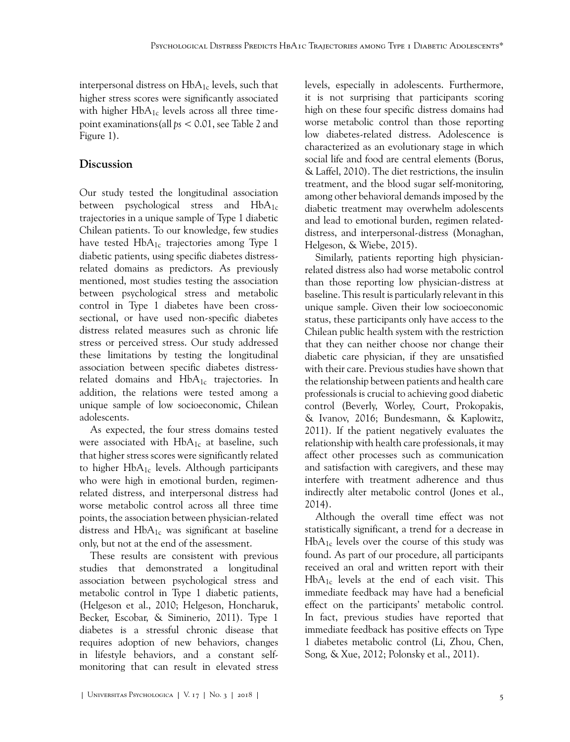interpersonal distress on  $HbA_{1c}$  levels, such that higher stress scores were significantly associated with higher  $HbA_{1c}$  levels across all three timepoint examinations(all *ps* < 0.01, see [Table 2](#page-3-2) and [Figure 1\)](#page-3-1).

### **Discussion**

Our study tested the longitudinal association between psychological stress and  $HbA_{1c}$ trajectories in a unique sample of Type 1 diabetic Chilean patients. To our knowledge, few studies have tested  $HbA_{1c}$  trajectories among Type 1 diabetic patients, using specific diabetes distressrelated domains as predictors. As previously mentioned, most studies testing the association between psychological stress and metabolic control in Type 1 diabetes have been crosssectional, or have used non-specific diabetes distress related measures such as chronic life stress or perceived stress. Our study addressed these limitations by testing the longitudinal association between specific diabetes distressrelated domains and  $HbA_{1c}$  trajectories. In addition, the relations were tested among a unique sample of low socioeconomic, Chilean adolescents.

As expected, the four stress domains tested were associated with  $HbA_{1c}$  at baseline, such that higher stress scores were significantly related to higher  $HbA_{1c}$  levels. Although participants who were high in emotional burden, regimenrelated distress, and interpersonal distress had worse metabolic control across all three time points, the association between physician-related distress and  $HbA_{1c}$  was significant at baseline only, but not at the end of the assessment.

These results are consistent with previous studies that demonstrated a longitudinal association between psychological stress and metabolic control in Type 1 diabetic patients, [\(Helgeson et al., 2010;](#page-5-0) [Helgeson, Honcharuk,](#page-6-8) [Becker, Escobar, & Siminerio, 2011\)](#page-6-8). Type 1 diabetes is a stressful chronic disease that requires adoption of new behaviors, changes in lifestyle behaviors, and a constant selfmonitoring that can result in elevated stress levels, especially in adolescents. Furthermore, it is not surprising that participants scoring high on these four specific distress domains had worse metabolic control than those reporting low diabetes-related distress. Adolescence is characterized as an evolutionary stage in which social life and food are central elements ([Borus,](#page-5-5) [& Laffel, 2010](#page-5-5)). The diet restrictions, the insulin treatment, and the blood sugar self-monitoring, among other behavioral demands imposed by the diabetic treatment may overwhelm adolescents and lead to emotional burden, regimen relateddistress, and interpersonal-distress ([Monaghan,](#page-6-9) [Helgeson, & Wiebe, 2015\)](#page-6-9).

Similarly, patients reporting high physicianrelated distress also had worse metabolic control than those reporting low physician-distress at baseline. This result is particularly relevant in this unique sample. Given their low socioeconomic status, these participants only have access to the Chilean public health system with the restriction that they can neither choose nor change their diabetic care physician, if they are unsatisfied with their care. Previous studies have shown that the relationship between patients and health care professionals is crucial to achieving good diabetic control [\(Beverly, Worley, Court, Prokopakis,](#page-7-4) [& Ivanov, 2016](#page-7-4); [Bundesmann, & Kaplowitz,](#page-5-6) [2011\)](#page-5-6). If the patient negatively evaluates the relationship with health care professionals, it may affect other processes such as communication and satisfaction with caregivers, and these may interfere with treatment adherence and thus indirectly alter metabolic control [\(Jones et al.,](#page-6-10) [2014\)](#page-6-10).

Although the overall time effect was not statistically significant, a trend for a decrease in  $HbA<sub>1c</sub>$  levels over the course of this study was found. As part of our procedure, all participants received an oral and written report with their  $HbA<sub>1c</sub>$  levels at the end of each visit. This immediate feedback may have had a beneficial effect on the participants' metabolic control. In fact, previous studies have reported that immediate feedback has positive effects on Type 1 diabetes metabolic control ([Li, Zhou, Chen,](#page-6-11) [Song, & Xue, 2012;](#page-6-11) [Polonsky et al., 2011\)](#page-6-12).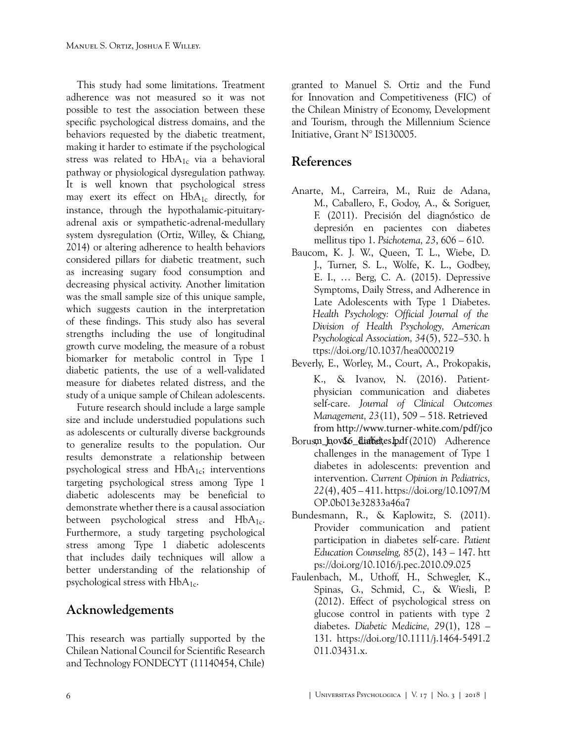This study had some limitations. Treatment adherence was not measured so it was not possible to test the association between these specific psychological distress domains, and the behaviors requested by the diabetic treatment, making it harder to estimate if the psychological stress was related to  $HbA_{1c}$  via a behavioral pathway or physiological dysregulation pathway. It is well known that psychological stress may exert its effect on HbA<sub>1c</sub> directly, for instance, through the hypothalamic-pituitaryadrenal axis or sympathetic-adrenal-medullary system dysregulation ([Ortiz, Willey, & Chiang,](#page-6-13) [2014\)](#page-6-13) or altering adherence to health behaviors considered pillars for diabetic treatment, such as increasing sugary food consumption and decreasing physical activity. Another limitation was the small sample size of this unique sample, which suggests caution in the interpretation of these findings. This study also has several strengths including the use of longitudinal growth curve modeling, the measure of a robust biomarker for metabolic control in Type 1 diabetic patients, the use of a well-validated measure for diabetes related distress, and the study of a unique sample of Chilean adolescents.

Future research should include a large sample size and include understudied populations such as adolescents or culturally diverse backgrounds to generalize results to the population. Our results demonstrate a relationship between psychological stress and  $HbA_{1c}$ ; interventions targeting psychological stress among Type 1 diabetic adolescents may be beneficial to demonstrate whether there is a causal association between psychological stress and  $HbA_{1c}$ . Furthermore, a study targeting psychological stress among Type 1 diabetic adolescents that includes daily techniques will allow a better understanding of the relationship of psychological stress with  $HbA_{1c}$ .

## **Acknowledgements**

This research was partially supported by the Chilean National Council for Scientific Research and Technology FONDECYT (11140454, Chile)

granted to Manuel S. Ortiz and the Fund for Innovation and Competitiveness (FIC) of the Chilean Ministry of Economy, Development and Tourism, through the Millennium Science Initiative, Grant N° IS130005.

# **References**

- <span id="page-5-1"></span>Anarte, M., Carreira, M., Ruiz de Adana, M., Caballero, F., Godoy, A., & Soriguer, F. (2011). Precisión del diagnóstico de depresión en pacientes con diabetes mellitus tipo 1. *Psichotema, 23*, 606 – 610.
- <span id="page-5-2"></span>Baucom, K. J. W., Queen, T. L., Wiebe, D. J., Turner, S. L., Wolfe, K. L., Godbey, E. I., … Berg, C. A. (2015). Depressive Symptoms, Daily Stress, and Adherence in Late Adolescents with Type 1 Diabetes. *Health Psychology: Official Journal of the Division of Health Psychology, American Psychological Association, 34*(5), 522–530. [h](https://doi.org/10.1037/hea0000219)  [ttps://doi.org/10.1037/hea0000219](https://doi.org/10.1037/hea0000219)
- <span id="page-5-5"></span>Beverly, E., Worley, M., Court, A., Prokopakis, K., & Ivanov, N. (2016). Patientphysician communication and diabetes self-care. *Journal of Clinical Outcomes Management, 23*([11\), 509 – 518.](https://doi.org/10.1097/MOP.0b013e32833a46a7) Retrieved from http://www.turner-white.com/pdf/jco
- <span id="page-5-6"></span>Borusm\_hov&6\_dialbettes.Ipdf(2010) Adherence challenges in the management of Type 1 diabetes in adolescents: prevention and intervention. *Current Opinion in Pediatrics, 22*(4), 405 – 411. https://doi.org/10.1097/M [OP.0b013e32833a46a7](https://doi.org/10.1097/MOP.0b013e32833a46a7)
- <span id="page-5-3"></span>Bundesmann, R., & Kaplowitz, S. (2011). Provider communication and patient participation in diabetes self-care. *Patient Education Counseling, 85*(2), 143 – 147. [htt](https://doi.org/10.1016/j.pec.2010.09.025) [ps://doi.org/10.1016/j.pec.2010.09.025](https://doi.org/10.1016/j.pec.2010.09.025)
- <span id="page-5-4"></span><span id="page-5-0"></span>Faulenbach, M., Uthoff, H., Schwegler, K., Spinas, G., Schmid, C., & Wiesli, P. (2012). Effect of psychological stress on glucose control in patients with type 2 diabetes. *Diabetic Medicine, 29*(1), 128 – 131. https://doi.org/10.1111/j.1464-5491.2 [011.03431.x](https://doi.org/10.1111/j.1464-5491.2011.03431.x).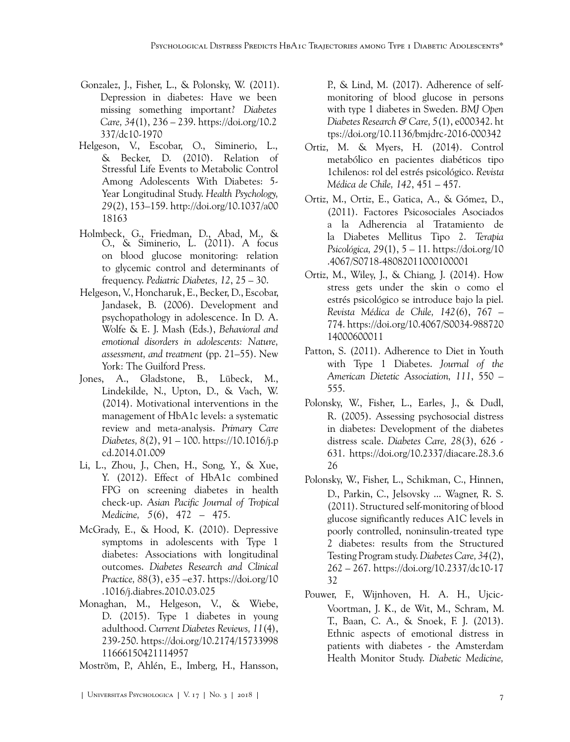- Depression in diabetes: Have we been missing something important? *Diabetes Care, 34*(1), 236 [– 239. https://doi.org/10.2](http://doi.org/10.1037/a0018163) 337/dc10-1970 Gonzalez, J., Fisher, L., & Polonsky, W. (2011).
- <span id="page-6-8"></span>Stressful Life Events to Metabolic Control Among Adolescents With Diabetes: 5- Year Longitudinal Study. *Health Psychology, 29*(2), 153–159. http://doi.org/10.1037/a00 [18163](http://doi.org/10.1037/a0018163) Helgeson, V., Escobar, O., Siminerio, L., & Becker, D. (2010). Relation of
- <span id="page-6-0"></span>O., & Siminerio, L. (2011). A focus on blood glucose monitoring: relation to glycemic control and determinants of frequency. *Pediatric Diabetes, 12*, 25 – 30. Holmbeck, G., Friedman, D., Abad, M., &
- <span id="page-6-10"></span>Helgeson, V., Honcharuk, E., Becker, D., Escobar, Jandasek, B. (2006). Development and psychopathology in adolescence. In D. A. Wolfe & E. J. Mash (Eds.), *Behavioral and emotional disorders in adolescents: Nature, assessment, and treatment* [\(pp. 21–55\). New](https://10.1016/j.pcd.2014.01.009) [York: The Guilf](https://10.1016/j.pcd.2014.01.009)ord Press.
- <span id="page-6-11"></span>Jones, A., Gladstone, B., Lübeck, M., Lindekilde, N., Upton, D., & Vach, W. (2014). Motivational interventions in the management of HbA1c levels: a systematic review and meta-analysis. *Primary Care Diabetes, 8*[\(2\), 91 – 100. https://10.1016/j.p](https://ac.els-cdn.com/S1995764512600819/1-s2.0-S1995764512600819-main.pdf?_tid=50bedfa2-97e6-4e7b-aae0-23119ccb8835&acdnat=1522202756_107e09ac23cb255bd56d7cda38f28a31) cd.2014.01.009
- Li, L., Zhou, J., Chen, H., Song, Y., & Xue, Y. (2012). Effect of HbA1c combined FPG on screening diabetes in health check-up. *Asian Pacific Journal of Tropical Medicine, 5*(6), 472 – 475.
- <span id="page-6-2"></span>McGrady, E., & Hood, K. (2010). Depressive symptoms in adolescents with Type 1 diabetes: Associations [with longitudinal](https://doi.org/10.1016/j.diabres.2010.03.025) outcomes. *Diabetes Research and Clinical Practice, 88*(3), e35 –e37. https://doi.org/10 [.1016/j.diabres.2010.03.025](https://doi.org/10.1016/j.diabres.2010.03.025)
- <span id="page-6-9"></span>Monaghan, M., Helgeson, V., & Wiebe, D. (201[5\). Type 1 diabetes in young](https://doi.org/10.2174/1573399811666150421114957) adulthood. *Current Diabetes Reviews, 11*(4), 239-250. https://doi.org/10.2174/15733998 [11666150421114957](https://doi.org/10.2174/1573399811666150421114957)

<span id="page-6-3"></span>Moström, P., Ahlén, E., Imberg, H., Hansson,

P., & Lind, M. (2017). Adherence of selfmonitoring of blood glucose in perso[ns](https://doi.org/10.1136/bmjdrc-2016-000342) with type 1 diabetes in Sweden. *BMJ Open Diabetes Research & Care, 5*(1), e000342. ht [tps://doi.org/10.1136/bmjdrc-2016-000342](https://doi.org/10.1136/bmjdrc-2016-000342)

- <span id="page-6-5"></span>Ortiz, M. & Myers, H. (2014). Control metabólico en pacientes diabéticos tipo 1chil[enos: rol del estrés psicológico.](https://pdfs.semanticscholar.org/f9f3/ca2b11834100cc4a6433714f7e036938b890.pdf) *Revista Médica de Chile, 142*, 451 – 457.
- <span id="page-6-6"></span>Ortiz[, M.,](https://pdfs.semanticscholar.org/f9f3/ca2b11834100cc4a6433714f7e036938b890.pdf) Ortiz, E., Gatica, A., & Gómez, D., (2011). Factores Psicosociales Asociados a la Adherencia al Tratamiento de la Diabetes Mellitus [Tipo 2.](https://doi.org/10.4067/S0718-48082011000100001) *Terapia Psicológica, 29*(1), 5 – 11. https://doi.org/10 [.4067/S0718-48082011000100001](https://doi.org/10.4067/S0718-48082011000100001)
- <span id="page-6-13"></span>Ortiz, M., Wiley, J., & Chiang, J. (2014). How stress gets under the skin o como el estrés psicológico se introduce bajo la piel. *Revista Médica de Chile, 142*(6), 767 – 774. [https://doi.org/10.4067/S0034-988720](https://doi.org/10.4067/S0034-98872014000600011) [14000600011](https://doi.org/10.4067/S0034-98872014000600011)
- <span id="page-6-4"></span>Patton, S. (2011). Adherence to Diet in Youth with Type 1 Diabetes. *Journal of the American Dietetic Association, 111*, 550 – 555.
- <span id="page-6-7"></span>Polonsky, W., Fisher, L., Earles, J., & Dudl, R. (2005). Assessing psychosocial distress in diabetes: Development of the diabetes distress scale. *[Diabetes Care, 28](https://doi.org/10.2337/diacare.28.3.626)*(3), 626 - 631. https://doi.org/10.2337/diacare.28.3.6 [26](https://doi.org/10.2337/diacare.28.3.626)
- <span id="page-6-12"></span>Polonsky, W., Fisher, L., Schikman, C., Hinnen, D., Parkin, C., Jelsovsky ... Wagner, R. S. (2011). Structured self-monitoring of blood glucose significantly reduces A1C levels in poorly controlled, noninsulin-treated type 2 diabetes: results from the Structured Testing Program study. *Diabetes Care, 34*(2), 262 – 267. [https://doi.org/10.2337/dc10-17](https://doi.org/10.2337/dc10-1732) [32](https://doi.org/10.2337/dc10-1732)
- <span id="page-6-1"></span>Pouwer, F., Wijnhoven, H. A. H., Ujcic-Voortman, J. K., de Wit, M., Schram, M. T., Baan, C. A., & Snoek, F. J. (2013). Ethnic aspects of emotional distress in patients with diabetes - the Amsterdam Health Monitor Study. *Diabetic Medicine,*